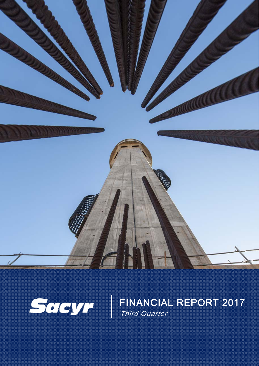



FINANCIAL REPORT 2017 Third Quarter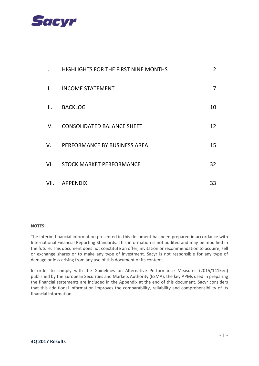

| I.   | HIGHLIGHTS FOR THE FIRST NINE MONTHS | $\overline{2}$ |
|------|--------------------------------------|----------------|
| II.  | <b>INCOME STATEMENT</b>              | $\overline{7}$ |
| III. | <b>BACKLOG</b>                       | 10             |
| IV.  | <b>CONSOLIDATED BALANCE SHEET</b>    | 12             |
| V.   | PERFORMANCE BY BUSINESS AREA         | 15             |
| VI.  | <b>STOCK MARKET PERFORMANCE</b>      | 32             |
| VII. | APPENDIX                             | 33             |

#### **NOTES**:

The interim financial information presented in this document has been prepared in accordance with International Financial Reporting Standards. This information is not audited and may be modified in the future. This document does not constitute an offer, invitation or recommendation to acquire, sell or exchange shares or to make any type of investment. Sacyr is not responsible for any type of damage or loss arising from any use of this document or its content.

In order to comply with the Guidelines on Alternative Performance Measures (2015/1415en) published by the European Securities and Markets Authority (ESMA), the key APMs used in preparing the financial statements are included in the Appendix at the end of this document. Sacyr considers that this additional information improves the comparability, reliability and comprehensibility of its financial information.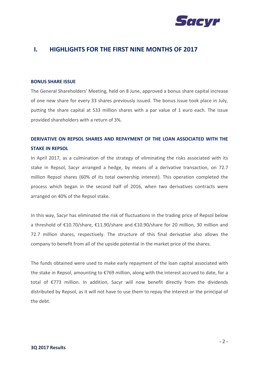

### **I. HIGHLIGHTS FOR THE FIRST NINE MONTHS OF 2017**

#### **BONUS SHARE ISSUE**

The General Shareholders' Meeting, held on 8 June, approved a bonus share capital increase of one new share for every 33 shares previously issued. The bonus issue took place in July, putting the share capital at 533 million shares with a par value of 1 euro each. The issue provided shareholders with a return of 3%.

## **DERIVATIVE ON REPSOL SHARES AND REPAYMENT OF THE LOAN ASSOCIATED WITH THE STAKE IN REPSOL**

In April 2017, as a culmination of the strategy of eliminating the risks associated with its stake in Repsol, Sacyr arranged a hedge, by means of a derivative transaction, on 72.7 million Repsol shares (60% of its total ownership interest). This operation completed the process which began in the second half of 2016, when two derivatives contracts were arranged on 40% of the Repsol stake.

In this way, Sacyr has eliminated the risk of fluctuations in the trading price of Repsol below a threshold of €10.70/share, €11.90/share and €10.90/share for 20 million, 30 million and 72.7 million shares, respectively. The structure of this final derivative also allows the company to benefit from all of the upside potential in the market price of the shares.

The funds obtained were used to make early repayment of the loan capital associated with the stake in Repsol, amounting to €769 million, along with the interest accrued to date, for a total of €773 million. In addition, Sacyr will now benefit directly from the dividends distributed by Repsol, as it will not have to use them to repay the interest or the principal of the debt.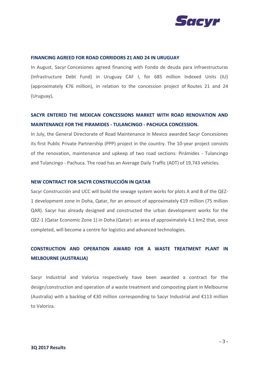

#### **FINANCING AGREED FOR ROAD CORRIDORS 21 AND 24 IN URUGUAY**

[In August, Sacyr](http://www.bolsamania.com/accion/SACYR) Concesiones agreed financing with Fondo de deuda para infraestructuras (Infrastructure Debt Fund) in Uruguay CAF I, for 685 million Indexed Units (IU) (approximately  $\epsilon$ 76 million), in relation to the concession project of Routes 21 and 24 [\(Uruguay\)](http://www.sacyr.com/es_es/canales/canal-actualidad/noticias/destacados/2015/Adjudicacion/10112015_Adjudicacion_Primer_proyecto_Uruguay.aspx)**.**

## **SACYR ENTERED THE MEXICAN CONCESSIONS MARKET WITH ROAD RENOVATION AND MAINTENANCE FOR THE PIRAMIDES - TULANCINGO - PACHUCA CONCESSION.**

In July, the General Directorate of Road Maintenance in Mexico awarded Sacyr Concesiones its first Public Private Partnership (PPP) project in the country. The 10-year project consists of the renovation, maintenance and upkeep of two road sections: Pirámides - Tulancingo and Tulancingo - Pachuca. The road has an Average Daily Traffic (ADT) of 19,743 vehicles.

#### **NEW CONTRACT FOR SACYR CONSTRUCCIÓN IN QATAR**

Sacyr Construcción and UCC will build the sewage system works for plots A and B of the QEZ-1 development zone in Doha, Qatar, for an amount of approximately €19 million (75 million QAR). Sacyr has already designed and constructed the urban development works for the QEZ-1 (Qatar Economic Zone 1) in Doha (Qatar): an area of approximately 4.1 km2 that, once completed, will become a centre for logistics and advanced technologies.

## **CONSTRUCTION AND OPERATION AWARD FOR A WASTE TREATMENT PLANT IN MELBOURNE (AUSTRALIA)**

Sacyr Industrial and Valoriza respectively have been awarded a contract for the design/construction and operation of a waste treatment and composting plant in Melbourne (Australia) with a backlog of  $\epsilon$ 30 million corresponding to Sacyr Industrial and  $\epsilon$ 113 million to Valoriza.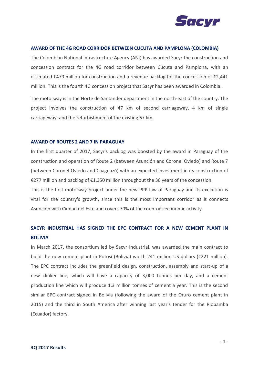

#### **AWARD OF THE 4G ROAD CORRIDOR BETWEEN CÚCUTA AND PAMPLONA (COLOMBIA)**

The Colombian National Infrastructure Agency (ANI) has awarded Sacyr the construction and concession contract for the 4G road corridor between Cúcuta and Pamplona, with an estimated €479 million for construction and a revenue backlog for the concession of €2,441 million. This is the fourth 4G concession project that Sacyr has been awarded in Colombia.

The motorway is in the Norte de Santander department in the north-east of the country. The project involves the construction of 47 km of second carriageway, 4 km of single carriageway, and the refurbishment of the existing 67 km.

#### **AWARD OF ROUTES 2 AND 7 IN PARAGUAY**

In the first quarter of 2017, Sacyr's backlog was boosted by the award in Paraguay of the construction and operation of Route 2 (between Asunción and Coronel Oviedo) and Route 7 (between Coronel Oviedo and Caaguazú) with an expected investment in its construction of €277 million and backlog of €1,350 million throughout the 30 years of the concession.

This is the first motorway project under the new PPP law of Paraguay and its execution is vital for the country's growth, since this is the most important corridor as it connects Asunción with Ciudad del Este and covers 70% of the country's economic activity.

## **SACYR INDUSTRIAL HAS SIGNED THE EPC CONTRACT FOR A NEW CEMENT PLANT IN BOLIVIA**

In March 2017, the consortium led by Sacyr Industrial, was awarded the main contract to build the new cement plant in Potosí (Bolivia) worth 241 million US dollars (€221 million). The EPC contract includes the greenfield design, construction, assembly and start-up of a new clinker line, which will have a capacity of 3,000 tonnes per day, and a cement production line which will produce 1.3 million tonnes of cement a year. This is the second similar EPC contract signed in Bolivia (following the award of the Oruro cement plant in 2015) and the third in South America after winning last year's tender for the Riobamba (Ecuador) factory.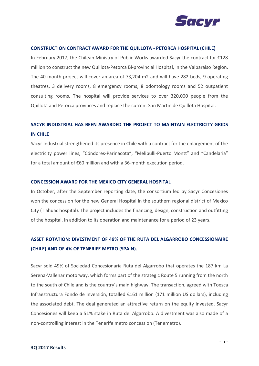

#### **CONSTRUCTION CONTRACT AWARD FOR THE QUILLOTA - PETORCA HOSPITAL (CHILE)**

In February 2017, the Chilean Ministry of Public Works awarded Sacyr the contract for €128 million to construct the new Quillota-Petorca Bi-provincial Hospital, in the Valparaiso Region. The 40-month project will cover an area of 73,204 m2 and will have 282 beds, 9 operating theatres, 3 delivery rooms, 8 emergency rooms, 8 odontology rooms and 52 outpatient consulting rooms. The hospital will provide services to over 320,000 people from the Quillota and Petorca provinces and replace the current San Martin de Quillota Hospital.

## **SACYR INDUSTRIAL HAS BEEN AWARDED THE PROJECT TO MAINTAIN ELECTRICITY GRIDS IN CHILE**

Sacyr Industrial strengthened its presence in Chile with a contract for the enlargement of the electricity power lines, "Cóndores-Parinacota", "Melipulli-Puerto Montt" and "Candelaria" for a total amount of €60 million and with a 36-month execution period.

#### **CONCESSION AWARD FOR THE MEXICO CITY GENERAL HOSPITAL**

In October, after the September reporting date, the consortium led by Sacyr Concesiones won the concession for the new General Hospital in the southern regional district of Mexico City (Tláhuac hospital). The project includes the financing, design, construction and outfitting of the hospital, in addition to its operation and maintenance for a period of 23 years.

## **ASSET ROTATION: DIVESTMENT OF 49% OF THE RUTA DEL ALGARROBO CONCESSIONAIRE (CHILE) AND OF 4% OF TENERIFE METRO (SPAIN).**

Sacyr sold 49% of Sociedad Concesionaria Ruta del Algarrobo that operates the 187 km La Serena-Vallenar motorway, which forms part of the strategic Route 5 running from the north to the south of Chile and is the country's main highway. The transaction, agreed with Toesca Infraestructura Fondo de Inversión, totalled €161 million (171 million US dollars), including the associated debt. The deal generated an attractive return on the equity invested. Sacyr Concesiones will keep a 51% stake in Ruta del Algarrobo. A divestment was also made of a non-controlling interest in the Tenerife metro concession (Tenemetro).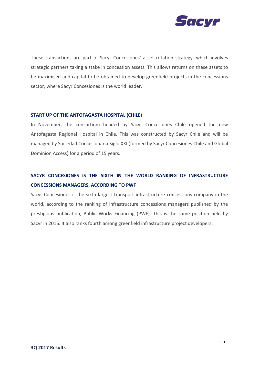

These transactions are part of Sacyr Concesiones' asset rotation strategy, which involves strategic partners taking a stake in concession assets. This allows returns on these assets to be maximised and capital to be obtained to develop greenfield projects in the concessions sector, where Sacyr Concesiones is the world leader.

#### **START UP OF THE ANTOFAGASTA HOSPITAL (CHILE)**

In November, the consortium headed by Sacyr Concesiones Chile opened the new Antofagasta Regional Hospital in Chile. This was constructed by Sacyr Chile and will be managed by Sociedad Concesionaria Siglo XXI (formed by Sacyr Concesiones Chile and Global Dominion Access) for a period of 15 years.

## **SACYR CONCESIONES IS THE SIXTH IN THE WORLD RANKING OF INFRASTRUCTURE CONCESSIONS MANAGERS, ACCORDING TO PWF**

Sacyr Concesiones is the sixth largest transport infrastructure concessions company in the world, according to the ranking of infrastructure concessions managers published by the prestigious publication, Public Works Financing (PWF). This is the same position held by Sacyr in 2016. It also ranks fourth among greenfield infrastructure project developers.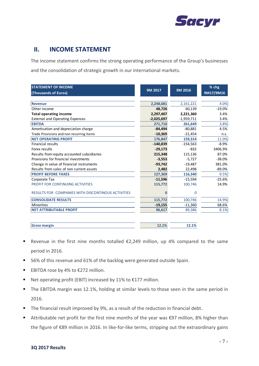

## **II. INCOME STATEMENT**

The income statement confirms the strong operating performance of the Group's businesses and the consolidation of strategic growth in our international markets.

| <b>STATEMENT OF INCOME</b>                         |              |              | % chg     |
|----------------------------------------------------|--------------|--------------|-----------|
| (Thousands of Euros)                               | 9M 2017      | 9M 2016      | 9M17/9M16 |
|                                                    |              |              |           |
| <b>Revenue</b>                                     | 2,248,681    | 2,161,221    | 4.0%      |
| Other income                                       | 48,726       | 60,139       | $-19.0%$  |
| <b>Total operating income</b>                      | 2,297,407    | 2,221,360    | 3.4%      |
| <b>External and Operating Expenses</b>             | $-2,025,697$ | $-1,959,711$ | 3.4%      |
| <b>EBITDA</b>                                      | 271,710      | 261,649      | 3.8%      |
| Amortisation and depreciation charge               | $-84,494$    | $-80,881$    | 4.5%      |
| Trade Provisions and non recurring items           | $-10,369$    | $-21,454$    | n.s.      |
| <b>NET OPERATING PROFIT</b>                        | 176,847      | 159,314      | 11.0%     |
| <b>Financial results</b>                           | $-140,839$   | $-154,563$   | $-8.9%$   |
| Forex results                                      | $-29,173$    | $-832$       | 3406.9%   |
| Results from equity accounted subsidiaries         | 215,348      | 115,136      | 87.0%     |
| Provisions for financial investments               | $-3,553$     | $-5,727$     | $-38.0%$  |
| Change in value of financial instruments           | $-93,742$    | $-19,487$    | 381.0%    |
| Results from sales of non current assets           | 2,482        | 22,498       | $-89.0%$  |
| <b>PROFIT BEFORE TAXES</b>                         | 127,369      | 116,340      | 9.5%      |
| Corporate Tax                                      | $-11,596$    | $-15,594$    | $-25.6%$  |
| PROFIT FOR CONTINUING ACTIVITIES                   | 115,772      | 100,746      | 14.9%     |
| RESULTS FOR COMPANIES WITH DISCONTINOUS ACTIVITIES | 0            | 0            |           |
| <b>CONSOLIDATE RESULTS</b>                         | 115,772      | 100,746      | 14.9%     |
| <b>Minorities</b>                                  | $-19,155$    | $-11,360$    | 68.6%     |
| <b>NET ATTRIBUTABLE PROFIT</b>                     | 96,617       | 89,386       | 8.1%      |

| lGr<br>Gross margin | 16.170 | <b>TT'T\0</b> |
|---------------------|--------|---------------|
|                     |        |               |

- **■** Revenue in the first nine months totalled  $\epsilon$ 2,249 million, up 4% compared to the same period in 2016.
- 56% of this revenue and 61% of the backlog were generated outside Spain.
- EBITDA rose by 4% to €272 million.
- Net operating profit (EBIT) increased by 11% to €177 million.
- The EBITDA margin was 12.1%, holding at similar levels to those seen in the same period in 2016.
- The financial result improved by 9%, as a result of the reduction in financial debt.
- Attributable net profit for the first nine months of the year was €97 million, 8% higher than the figure of €89 million in 2016. In like-for-like terms, stripping out the extraordinary gains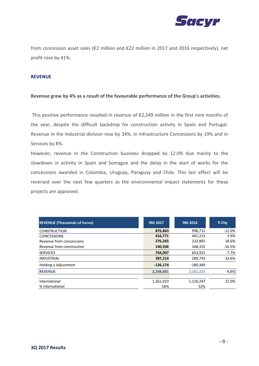

from concession asset sales (€2 million and €22 million in 2017 and 2016 respectively), net profit rose by 41%.

#### **REVENUE**

#### **Revenue grew by 4% as a result of the favourable performance of the Group's activities.**

This positive performance resulted in revenue of €2,249 million in the first nine months of the year, despite the difficult backdrop for construction activity in Spain and Portugal. Revenue in the Industrial division rose by 34%, in Infrastructure Concessions by 19% and in Services by 8%.

However, revenue in the Construction business dropped by 12.0% due mainly to the slowdown in activity in Spain and Somague and the delay in the start of works for the concessions awarded in Colombia, Uruguay, Paraguay and Chile. This last effect will be reversed over the next few quarters as the environmental impact statements for these projects are approved.

| <b>REVENUE (Thousands of Euros)</b> | 9M 2017 |            | 9M 2016    | $%$ Chg  |
|-------------------------------------|---------|------------|------------|----------|
| <b>CONSTRUCTION</b>                 |         | 876,863    | 996,712    | $-12.0%$ |
| <b>CONCESSIONS</b>                  |         | 416,771    | 401,213    | 3.9%     |
| Revenue from concessions            |         | 276,265    | 232,881    | 18.6%    |
| Revenue from construction           |         | 140,506    | 168,332    | $-16.5%$ |
| <b>SERVICES</b>                     |         | 704,007    | 653,921    | 7.7%     |
| <b>INDUSTRIAL</b>                   |         | 387,214    | 289,743    | 33.6%    |
| Holding y Adjustment                |         | $-136,174$ | $-180,369$ |          |
| <b>REVENUE</b>                      |         | 2,248,681  | 2,161,221  | 4.0%     |
|                                     |         |            |            |          |
| International                       |         | 1,261,010  | 1,126,247  | 12.0%    |
| % International                     |         | 56%        | 52%        |          |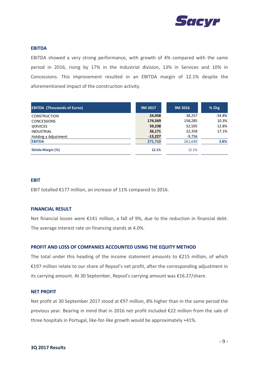

#### **EBITDA**

EBITDA showed a very strong performance, with growth of 4% compared with the same period in 2016, rising by 17% in the Industrial division, 13% in Services and 10% in Concessions. This improvement resulted in an EBITDA margin of 12.1% despite the aforementioned impact of the construction activity.

| <b>EBITDA (Thousands of Euros)</b> | 9M 2017   | 9M 2016  | % Chg    |
|------------------------------------|-----------|----------|----------|
| <b>CONSTRUCTION</b>                | 24,958    | 38,257   | $-34.8%$ |
| <b>CONCESSIONS</b>                 | 174,569   | 158,285  | 10.3%    |
| <b>SERVICES</b>                    | 59,238    | 52,505   | 12.8%    |
| <b>INDUSTRIAL</b>                  | 26,171    | 22,358   | 17.1%    |
| Holding y Adjustment               | $-13,227$ | $-9,756$ |          |
| <b>EBITDA</b>                      | 271,710   | 261,649  | 3.8%     |
| Ebitda Margin (%)                  | 12.1%     | 12.1%    |          |

#### **EBIT**

EBIT totalled €177 million, an increase of 11% compared to 2016.

#### **FINANCIAL RESULT**

Net financial losses were €141 million, a fall of 9%, due to the reduction in financial debt. The average interest rate on financing stands at 4.0%.

#### **PROFIT AND LOSS OF COMPANIES ACCOUNTED USING THE EQUITY METHOD**

The total under this heading of the income statement amounts to  $\epsilon$ 215 million, of which €197 million relate to our share of Repsol's net profit, after the corresponding adjustment in its carrying amount. At 30 September, Repsol's carrying amount was €16.27/share.

#### **NET PROFIT**

Net profit at 30 September 2017 stood at €97 million, 8% higher than in the same period the previous year. Bearing in mind that in 2016 net profit included €22 million from the sale of three hospitals in Portugal, like-for-like growth would be approximately +41%.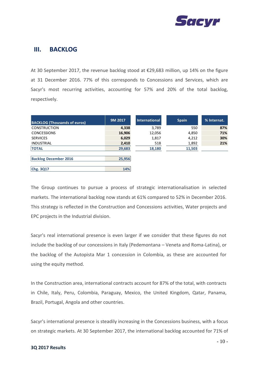

### **III. BACKLOG**

At 30 September 2017, the revenue backlog stood at €29,683 million, up 14% on the figure at 31 December 2016. 77% of this corresponds to Concessions and Services, which are Sacyr's most recurring activities, accounting for 57% and 20% of the total backlog, respectively.

| <b>BACKLOG (Thousands of euros)</b> | 9M 2017 | <b>International</b> | <b>Spain</b> | % Internat. |
|-------------------------------------|---------|----------------------|--------------|-------------|
| <b>CONSTRUCTION</b>                 | 4,338   | 3,789                | 550          | 87%         |
| <b>CONCESSIONS</b>                  | 16,906  | 12,056               | 4,850        | 71%         |
| <b>SERVICES</b>                     | 6,029   | 1,817                | 4,212        | 30%         |
| <b>INDUSTRIAL</b>                   | 2,410   | 518                  | 1,892        | 21%         |
| <b>TOTAL</b>                        | 29,683  | 18,180               | 11,503       |             |
|                                     |         |                      |              |             |
| <b>Backlog December 2016</b>        | 25,956  |                      |              |             |
|                                     |         |                      |              |             |
| Chg. 3Q17                           | 14%     |                      |              |             |

The Group continues to pursue a process of strategic internationalisation in selected markets. The international backlog now stands at 61% compared to 52% in December 2016. This strategy is reflected in the Construction and Concessions activities, Water projects and EPC projects in the Industrial division.

Sacyr's real international presence is even larger if we consider that these figures do not include the backlog of our concessions in Italy (Pedemontana – Veneta and Roma-Latina), or the backlog of the Autopista Mar 1 concession in Colombia, as these are accounted for using the equity method.

In the Construction area, international contracts account for 87% of the total, with contracts in Chile, Italy, Peru, Colombia, Paraguay, Mexico, the United Kingdom, Qatar, Panama, Brazil, Portugal, Angola and other countries.

Sacyr's international presence is steadily increasing in the Concessions business, with a focus on strategic markets. At 30 September 2017, the international backlog accounted for 71% of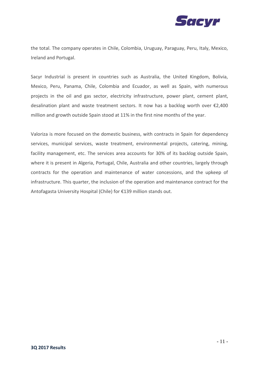

the total. The company operates in Chile, Colombia, Uruguay, Paraguay, Peru, Italy, Mexico, Ireland and Portugal.

Sacyr Industrial is present in countries such as Australia, the United Kingdom, Bolivia, Mexico, Peru, Panama, Chile, Colombia and Ecuador, as well as Spain, with numerous projects in the oil and gas sector, electricity infrastructure, power plant, cement plant, desalination plant and waste treatment sectors. It now has a backlog worth over €2,400 million and growth outside Spain stood at 11% in the first nine months of the year.

Valoriza is more focused on the domestic business, with contracts in Spain for dependency services, municipal services, waste treatment, environmental projects, catering, mining, facility management, etc. The services area accounts for 30% of its backlog outside Spain, where it is present in Algeria, Portugal, Chile, Australia and other countries, largely through contracts for the operation and maintenance of water concessions, and the upkeep of infrastructure. This quarter, the inclusion of the operation and maintenance contract for the Antofagasta University Hospital (Chile) for €139 million stands out.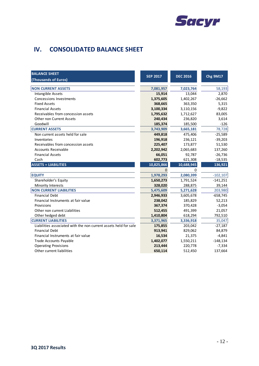

# **IV. CONSOLIDATED BALANCE SHEET**

| <b>BALANCE SHEET</b>                                             | <b>SEP 2017</b>     | <b>DEC 2016</b>     | <b>Chg 9M17</b> |
|------------------------------------------------------------------|---------------------|---------------------|-----------------|
| (Thousands of Euros)                                             |                     |                     |                 |
| <b>NON CURRENT ASSETS</b>                                        |                     |                     |                 |
| Intangible Assets                                                | 7,081,957<br>15,914 | 7,023,764<br>13,044 | 58,193<br>2,870 |
| <b>Concessions Investments</b>                                   |                     |                     |                 |
| <b>Fixed Assets</b>                                              | 1,375,605           | 1,402,267           | $-26,662$       |
| <b>Financial Assets</b>                                          | 368,665             | 363,350             | 5,315           |
| Receivables from concession assets                               | 3,100,334           | 3,110,156           | $-9,822$        |
|                                                                  | 1,795,632           | 1,712,627           | 83,005          |
| <b>Other non Current Assets</b><br>Goodwill                      | 240,434             | 236,820             | 3,614           |
|                                                                  | 185,374             | 185,500             | $-126$          |
| <b>CURRENT ASSETS</b>                                            | 3,743,909           | 3,665,181           | 78,728          |
| Non current assets held for sale                                 | 449,818             | 475,406             | $-25,589$       |
| Inventories                                                      | 196,918             | 236,121             | $-39,203$       |
| Receivables from concession assets                               | 225,407             | 173,877             | 51,530          |
| <b>Accounts Receivable</b>                                       | 2,202,942           | 2,065,683           | 137,260         |
| <b>Financial Assets</b>                                          | 66,051              | 92,787              | $-26,736$       |
| Cash                                                             | 602,773             | 621,308             | $-18,535$       |
| <b>ASSETS = LIABILITIES</b>                                      | 10,825,866          | 10,688,945          | 136,921         |
|                                                                  | $\overline{0}$      | 0                   |                 |
| <b>EQUITY</b>                                                    | 1,978,293           | 2,080,399           | $-102, 107$     |
| Shareholder's Equity                                             | 1,650,273           | 1,791,524           | $-141,251$      |
| Minority Interests                                               | 328,020             | 288,875             | 39,144          |
| <b>NON CURRENT LIABILITIES</b>                                   | 5,475,609           | 5,271,628           | 203,980         |
| <b>Financial Debt</b>                                            | 2,946,933           | 3,605,678           | $-658,745$      |
| Financial Instruments at fair value                              | 238,042             | 185,829             | 52,213          |
| Provisions                                                       | 367,374             | 370,428             | $-3,054$        |
| Other non current Liabilities                                    | 512,455             | 491,399             | 21,057          |
| Other hedged debt                                                | 1,410,804           | 618,294             | 792,510         |
| <b>CURRENT LIABILITIES</b>                                       | 3,371,965           | 3,336,918           | 35,047          |
| Liabilities associated with the non current assets held for sale | 175,855             | 203,042             | $-27,187$       |
| <b>Financial Debt</b>                                            | 913,941             | 829,062             | 84,879          |
| Financial Instruments at fair value                              | 16,534              | 21,375              | $-4,841$        |
| Trade Accounts Payable                                           | 1,402,077           | 1,550,211           | $-148,134$      |
| <b>Operating Provisions</b>                                      | 213,444             | 220,778             | $-7,334$        |
| Other current liabilities                                        | 650,114             | 512,450             | 137,664         |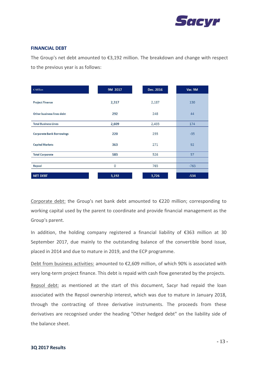

#### **FINANCIAL DEBT**

The Group's net debt amounted to €3,192 million. The breakdown and change with respect to the previous year is as follows:

| € Million                        | 9M 2017 | Dec. 2016 | Var. 9M |
|----------------------------------|---------|-----------|---------|
| <b>Project Finance</b>           | 2,317   | 2,187     | 130     |
| Other business lines debt        | 292     | 248       | 44      |
| <b>Total Business Lines</b>      | 2,609   | 2,435     | 174     |
| <b>Corporate Bank Borrowings</b> | 220     | 255       | $-35$   |
| <b>Capital Markets</b>           | 363     | 271       | 92      |
| <b>Total Corporate</b>           | 583     | 526       | 57      |
|                                  |         |           |         |
| Repsol                           | $\circ$ | 765       | $-765$  |
| <b>NET DEBT</b>                  | 3,192   | 3,726     | $-534$  |

Corporate debt: the Group's net bank debt amounted to €220 million; corresponding to working capital used by the parent to coordinate and provide financial management as the Group's parent.

In addition, the holding company registered a financial liability of €363 million at 30 September 2017, due mainly to the outstanding balance of the convertible bond issue, placed in 2014 and due to mature in 2019, and the ECP programme.

Debt from business activities: amounted to €2,609 million, of which 90% is associated with very long-term project finance. This debt is repaid with cash flow generated by the projects.

Repsol debt: as mentioned at the start of this document, Sacyr had repaid the loan associated with the Repsol ownership interest, which was due to mature in January 2018, through the contracting of three derivative instruments. The proceeds from these derivatives are recognised under the heading "Other hedged debt" on the liability side of the balance sheet.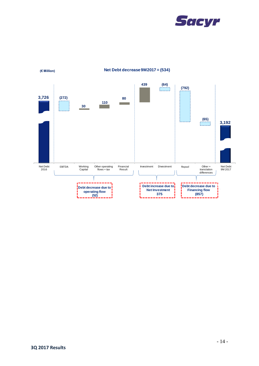



**(€ Million) Net Debt decrease 9M2017 = (534)**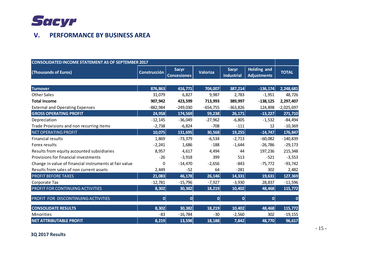

## **V. PERFORMANCE BY BUSINESS AREA**

| <b>CONSOLIDATED INCOME STATEMENT AS OF SEPTEMBER 2017</b> |              |                                    |                 |                                   |                                          |              |
|-----------------------------------------------------------|--------------|------------------------------------|-----------------|-----------------------------------|------------------------------------------|--------------|
| (Thousands of Euros)                                      | Construcción | <b>Sacyr</b><br><b>Concesiones</b> | <b>Valoriza</b> | <b>Sacyr</b><br><b>Industrial</b> | <b>Holding and</b><br><b>Adjustments</b> | <b>TOTAL</b> |
|                                                           |              |                                    |                 |                                   |                                          |              |
| <b>Turnover</b>                                           | 876,863      | 416,771                            | 704,007         | 387,214                           | $-136,174$                               | 2,248,681    |
| <b>Other Sales</b>                                        | 31,079       | 6,827                              | 9,987           | 2,783                             | $-1,951$                                 | 48,726       |
| <b>Total Income</b>                                       | 907,942      | 423,599                            | 713,993         | 389,997                           | $-138,125$                               | 2,297,407    |
| <b>External and Operating Expenses</b>                    | $-882,984$   | $-249,030$                         | $-654,755$      | $-363,826$                        | 124,898                                  | $-2,025,697$ |
| <b>GROSS OPERATING PROFIT</b>                             | 24,958       | 174,569                            | 59,238          | 26,171                            | $-13,227$                                | 271,710      |
| Depreciation                                              | $-12,145$    | $-36,049$                          | $-27,962$       | $-6,805$                          | $-1,532$                                 | $-84,494$    |
| Trade Provisions and non recurring items                  | $-2,738$     | $-6,824$                           | $-708$          | $-111$                            | 12                                       | $-10,369$    |
| <b>NET OPERATING PROFIT</b>                               | 10,075       | 131,695                            | 30,568          | 19,255                            | $-14,747$                                | 176,847      |
| <b>Financial results</b>                                  | 1,869        | -73,379                            | $-6,534$        | $-2,713$                          | $-60,082$                                | $-140,839$   |
| Forex results                                             | $-2,241$     | 1,686                              | $-188$          | $-1,644$                          | $-26,786$                                | $-29,173$    |
| Results from equity accounted subsidiaries                | 8,957        | 4,617                              | 4,494           | 44                                | 197,236                                  | 215,348      |
| Provisions for financial investments                      | $-26$        | $-3,918$                           | 399             | 513                               | $-521$                                   | $-3,553$     |
| Change in value of financial instruments at fair value    | 0            | $-14,470$                          | $-2,656$        | $-843$                            | $-75,772$                                | $-93,742$    |
| Results from sales of non current assets                  | 2,449        | $-52$                              | 64              | $-281$                            | 302                                      | 2,482        |
| <b>PROFIT BEFORE TAXES</b>                                | 21,083       | 46,178                             | 26,146          | 14,331                            | 19,631                                   | 127,369      |
| Corporate Tax                                             | $-12,781$    | $-15,796$                          | $-7,927$        | $-3,930$                          | 28,837                                   | $-11,596$    |
| PROFIT FOR CONTINUING ACTIVITIES                          | 8,302        | 30,382                             | 18,219          | 10,402                            | 48,468                                   | 115,772      |
| PROFIT FOR DISCONTINUING ACTIVITIES                       | 0            | 0                                  | $\mathbf 0$     | 0                                 | $\mathbf 0$                              | 0            |
| <b>CONSOLIDATE RESULTS</b>                                | 8,302        | 30,382                             | 18,219          | 10,402                            | 48,468                                   | 115,772      |
| <b>Minorities</b>                                         | $-83$        | $-16,784$                          | $-30$           | $-2,560$                          | 302                                      | $-19,155$    |
| <b>NET ATTRIBUTABLE PROFIT</b>                            | 8,219        | 13,598                             | 18,188          | 7,842                             | 48,770                                   | 96,617       |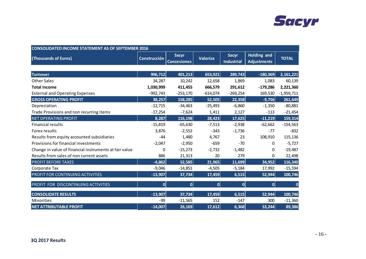

| <b>CONSOLIDATED INCOME STATEMENT AS OF SEPTEMBER 2016</b> |                     |                                    |                 |                                   |                                          |              |
|-----------------------------------------------------------|---------------------|------------------------------------|-----------------|-----------------------------------|------------------------------------------|--------------|
| (Thousands of Euros)                                      | <b>Construcción</b> | <b>Sacyr</b><br><b>Concesiones</b> | <b>Valoriza</b> | <b>Sacyr</b><br><b>Industrial</b> | <b>Holding and</b><br><b>Adjustments</b> | <b>TOTAL</b> |
|                                                           |                     |                                    |                 |                                   |                                          |              |
| <b>Turnover</b>                                           | 996,712             | 401,213                            | 653,921         | 289,743                           | $-180,369$                               | 2,161,221    |
| <b>Other Sales</b>                                        | 34,287              | 10,242                             | 12,658          | 1,869                             | 1,083                                    | 60,139       |
| <b>Total Income</b>                                       | 1,030,999           | 411,455                            | 666,579         | 291,612                           | $-179,286$                               | 2,221,360    |
| <b>External and Operating Expenses</b>                    | $-992,743$          | $-253,170$                         | $-614,074$      | $-269,254$                        | 169,530                                  | $-1,959,711$ |
| <b>GROSS OPERATING PROFIT</b>                             | 38,257              | 158,285                            | 52,505          | 22,358                            | $-9,756$                                 | 261,649      |
| Depreciation                                              | $-12,715$           | $-34,463$                          | $-25,493$       | $-6,860$                          | $-1,350$                                 | $-80,881$    |
| Trade Provisions and non recurring items                  | $-17,254$           | $-7,624$                           | 1,411           | 2,127                             | $-113$                                   | $-21,454$    |
| <b>NET OPERATING PROFIT</b>                               | 8,287               | 116,198                            | 28,423          | 17,625                            | $-11,219$                                | 159,314      |
| <b>Financial results</b>                                  | $-15,819$           | $-65,630$                          | $-7,513$        | $-2,938$                          | $-62,662$                                | $-154,563$   |
| Forex results                                             | 3,876               | $-2,552$                           | $-343$          | $-1,736$                          | $-77$                                    | $-832$       |
| Results from equity accounted subsidiaries                | $-44$               | 1,480                              | 4,767           | 23                                | 108,910                                  | 115,136      |
| Provisions for financial investments                      | $-2,047$            | $-2,950$                           | $-659$          | $-70$                             | 0                                        | $-5,727$     |
| Change in value of financial instruments at fair value    | 0                   | $-15,273$                          | $-2,732$        | $-1,482$                          | 0                                        | $-19,487$    |
| Results from sales of non current assets                  | 886                 | 21,313                             | 20              | 279                               | 0                                        | 22,498       |
| <b>PROFIT BEFORE TAXES</b>                                | $-4,862$            | 52,585                             | 21,965          | 11,699                            | 34,952                                   | 116,340      |
| Corporate Tax                                             | $-9,046$            | $-14,851$                          | $-4,505$        | $-5,184$                          | 17,992                                   | $-15,594$    |
| PROFIT FOR CONTINUING ACTIVITIES                          | $-13,907$           | 37,734                             | 17,459          | 6,515                             | 52,944                                   | 100,746      |
| PROFIT FOR DISCONTINUING ACTIVITIES                       | $\mathbf{0}$        | $\mathbf{0}$                       | $\mathbf 0$     | $\overline{0}$                    | 0                                        | $\mathbf 0$  |
| <b>CONSOLIDATE RESULTS</b>                                | $-13,907$           | 37,734                             | 17,459          | 6,515                             | 52,944                                   | 100,746      |
| Minorities                                                | $-99$               | $-11,565$                          | 152             | $-147$                            | 300                                      | $-11,360$    |
| <b>NET ATTRIBUTABLE PROFIT</b>                            | $-14,007$           | 26,169                             | 17,612          | 6,368                             | 53,244                                   | 89,386       |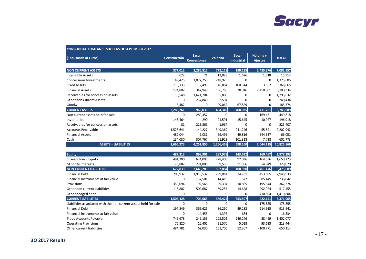

| <b>CONSOLIDATED BALANCE SHEET AS OF SEPTEMBER 2017</b>           |                     |                                    |                 |                                   |                                    |              |
|------------------------------------------------------------------|---------------------|------------------------------------|-----------------|-----------------------------------|------------------------------------|--------------|
| (Thousands of Euros)                                             | <b>Construcción</b> | <b>Sacyr</b><br><b>Concesiones</b> | <b>Valoriza</b> | <b>Sacyr</b><br><b>Industrial</b> | <b>Holding y</b><br><b>Ajustes</b> | <b>TOTAL</b> |
| <b>NON CURRENT ASSETS</b>                                        | 377,012             | 3,286,815                          | 772,119         | 190,135                           | 2,455,876                          | 7,081,957    |
| Intangible Assets                                                | 622                 | 71                                 | 12,028          | 1,676                             | 1,518                              | 15,914       |
| <b>Concessions Investments</b>                                   | 49,425              | 1,077,255                          | 248,925         | $\mathbf 0$                       | 0                                  | 1,375,605    |
| <b>Fixed Assets</b>                                              | 115,133             | 2,496                              | 146,864         | 100,614                           | 3,557                              | 368,665      |
| <b>Financial Assets</b>                                          | 174,802             | 347,949                            | 106,766         | 20,016                            | 2,450,801                          | 3,100,334    |
| Receivables for concession assets                                | 18,548              | 1,621,204                          | 155,880         | $\mathbf 0$                       | 0                                  | 1,795,632    |
| <b>Other non Current Assets</b>                                  | $\Omega$            | 237,840                            | 2,594           | $\Omega$                          | 0                                  | 240,434      |
| Goodwill                                                         | 18,482              | 0                                  | 99,062          | 67,829                            | 0                                  | 185,374      |
| <b>CURRENT ASSETS</b>                                            | 2,288,261           | 965,035                            | 494,349         | 408,025                           | $-411,761$                         | 3,743,909    |
| Non current assets held for sale                                 | $\Omega$            | 280,357                            | $\Omega$        | $\mathbf 0$                       | 169,461                            | 449,818      |
| Inventories                                                      | 148,464             | 290                                | 21,591          | 15,645                            | 10,927                             | 196,918      |
| Receivables for concession assets                                | 81                  | 223,361                            | 1,964           | 0                                 | 0                                  | 225,407      |
| <b>Accounts Receivable</b>                                       | 1,523,641           | 144,227                            | 349,369         | 241,246                           | $-55,541$                          | 2,202,942    |
| <b>Financial Assets</b>                                          | 482,044             | 9,031                              | 69,496          | 49,816                            | $-544,337$                         | 66,051       |
| Cash                                                             | 134,030             | 307,767                            | 51,929          | 101,318                           | 7,728                              | 602,773      |
| <b>ASSETS = LIABILITIES</b>                                      | 2,665,273           | 4,251,850                          | 1,266,468       | 598,160                           | 2,044,115                          | 10,825,866   |
| Equity                                                           | 487,313             | 898,901                            | 287,959         | 143,632                           | 160,487                            | 1,978,293    |
| Shareholder's Equity                                             | 491,200             | 624,095                            | 278,406         | 92,036                            | 164,536                            | 1,650,273    |
| Minority Interests                                               | $-3,887$            | 274,806                            | 9,553           | 51,596                            | $-4,049$                           | 328,020      |
| <b>NON CURRENT LIABILITIES</b>                                   | 672,833             | 2,648,285                          | 592,084         | 100,930                           | 1,461,476                          | 5,475,609    |
| <b>Financial Debt</b>                                            | 203,932             | 1,915,532                          | 299,014         | 74,761                            | 453,695                            | 2,946,933    |
| Financial Instruments at fair value                              | 0                   | 137,501                            | 14,419          | 677                               | 85,445                             | 238,042      |
| Provisions                                                       | 350,094             | 92,566                             | 109,394         | 10,865                            | $-195,544$                         | 367,374      |
| Other non current Liabilities                                    | 118,807             | 502,687                            | 169,257         | 14,628                            | $-292,924$                         | 512,455      |
| Other hedged debt                                                | 0                   | 0                                  | 0               | 0                                 | 1,410,804                          | 1,410,804    |
| <b>CURRENT LIABILITIES</b>                                       | 1,505,128           | 704,663                            | 386,425         | 353,597                           | 422,151                            | 3,371,965    |
| Liabilities associated with the non current assets held for sale | $\mathbf 0$         | $\mathbf 0$                        | $\mathbf 0$     | $\mathbf 0$                       | 175,855                            | 175,855      |
| <b>Financial Debt</b>                                            | 197,849             | 365,625                            | 86,250          | 49,282                            | 214,935                            | 913,941      |
| Financial instruments at fair value                              | 0                   | 14,453                             | 1,397           | 684                               | 0                                  | 16,534       |
| <b>Trade Accounts Payable</b>                                    | 745,678             | 246,153                            | 125,502         | 246,246                           | 38,499                             | 1,402,077    |
| <b>Operating Provisions</b>                                      | 76,820              | 16,402                             | 21,570          | 5,018                             | 93,633                             | 213,444      |
| Other current liabilities                                        | 484,781             | 62,030                             | 151,706         | 52,367                            | $-100,771$                         | 650,114      |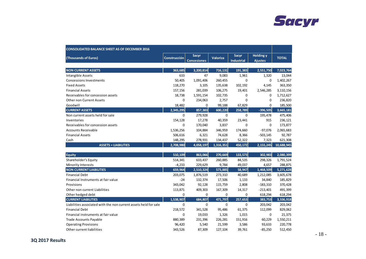

| (Thousands of Euros)                                             | <b>Construcción</b> | <b>Sacyr</b><br><b>Concesiones</b> | <b>Valoriza</b> | Sacyr<br><b>Industrial</b> | <b>Holding y</b><br><b>Ajustes</b> | <b>TOTAL</b> |
|------------------------------------------------------------------|---------------------|------------------------------------|-----------------|----------------------------|------------------------------------|--------------|
| <b>NON CURRENT ASSETS</b>                                        | 363,685             | 3,200,814                          | 716,131         | 191,383                    | 2,551,750                          | 7,023,764    |
| Intangible Assets                                                | 633                 | 47                                 | 9,083           | 1,961                      | 1,320                              | 13,044       |
| <b>Concessions Investments</b>                                   | 50,405              | 1,091,406                          | 260,455         | $\mathbf 0$                | $\mathbf 0$                        | 1,402,267    |
| <b>Fixed Assets</b>                                              | 118,270             | 3,105                              | 135,638         | 102,192                    | 4,145                              | 363,350      |
| <b>Financial Assets</b>                                          | 157,156             | 281,039                            | 106,275         | 19,401                     | 2,546,285                          | 3,110,156    |
| Receivables for concession assets                                | 18,738              | 1,591,154                          | 102,735         | $\mathbf 0$                | $\mathbf 0$                        | 1,712,627    |
| <b>Other non Current Assets</b>                                  | $\mathbf 0$         | 234,063                            | 2,757           | $\mathbf 0$                | $\mathbf 0$                        | 236,820      |
| Goodwill                                                         | 18,482              | 0                                  | 99,188          | 67,829                     | $\mathbf 0$                        | 185,500      |
| <b>CURRENT ASSETS</b>                                            | 2,345,295           | 857,383                            | 600,220         | 258,789                    | $-396,505$                         | 3,665,181    |
| Non current assets held for sale                                 | $\mathbf 0$         | 279,928                            | $\mathbf 0$     | $\Omega$                   | 195,478                            | 475,406      |
| Inventories                                                      | 154,128             | 17,278                             | 40,359          | 23,441                     | 915                                | 236,121      |
| Receivables for concession assets                                | 0                   | 170,040                            | 3,837           | 0                          | $\mathbf 0$                        | 173,877      |
| Accounts Receivable                                              | 1,536,256           | 104,884                            | 346,959         | 174,660                    | $-97,076$                          | 2,065,683    |
| <b>Financial Assets</b>                                          | 506,616             | 6,321                              | 74,628          | 8,366                      | $-503,145$                         | 92,787       |
| Cash                                                             | 148,295             | 278,931                            | 134,437         | 52,322                     | 7,323                              | 621,308      |
| <b>ASSETS = LIABILITIES</b>                                      | 2,708,980           | 4,058,197                          | 1,316,351       | 450,172                    | 2,155,245                          | 10,688,945   |
| <b>Equity</b>                                                    | 510.109             | 863,066                            | 270,669         | 133,573                    | 302.983                            | 2,080,399    |
| Shareholder's Equity                                             | 514,341             | 633,437                            | 260,885         | 84,535                     | 298,326                            | 1,791,524    |
| Minority Interests                                               | $-4,233$            | 229,629                            | 9,784           | 49,037                     | 4,657                              | 288,875      |
| <b>NON CURRENT LIABILITIES</b>                                   | 659,964             | 2,510,324                          | 573,885         | 58,947                     | 1,468,509                          | 5,271,628    |
| <b>Financial Debt</b>                                            | 203,075             | 1,876,519                          | 273,310         | 40,689                     | 1,212,085                          | 3,605,678    |
| Financial Instruments at fair value                              | $-24$               | 132,374                            | 17,506          | 1,133                      | 34,840                             | 185,829      |
| Provisions                                                       | 343,042             | 92,128                             | 115,759         | 2,808                      | $-183,310$                         | 370,428      |
| Other non current Liabilities                                    | 113,871             | 409,303                            | 167,309         | 14,317                     | $-213,401$                         | 491,399      |
| Other hedged debt                                                | 0                   | $\mathbf 0$                        | $\mathbf 0$     | $\mathbf 0$                | 618,294                            | 618,294      |
| <b>CURRENT LIABILITIES</b>                                       | 1,538,907           | 684,807                            | 471,797         | 257,653                    | 383,753                            | 3,336,918    |
| Liabilities associated with the non current assets held for sale | 0                   | $\mathbf 0$                        | $\mathbf 0$     | 0                          | 203,042                            | 203,042      |
| <b>Financial Debt</b>                                            | 218,572             | 341,528                            | 95,486          | 61,375                     | 112,099                            | 829,062      |
| Financial instruments at fair value                              | 0                   | 19,033                             | 1,326           | 1,015                      | 0                                  | 21,375       |
| <b>Trade Accounts Payable</b>                                    | 880,389             | 231,396                            | 226,281         | 151,916                    | 60,229                             | 1,550,211    |
| <b>Operating Provisions</b>                                      | 96,420              | 5,540                              | 21,599          | 3,586                      | 93,633                             | 220,778      |
| Other current liabilities                                        | 343,526             | 87,309                             | 127,104         | 39,761                     | $-85,250$                          | 512,450      |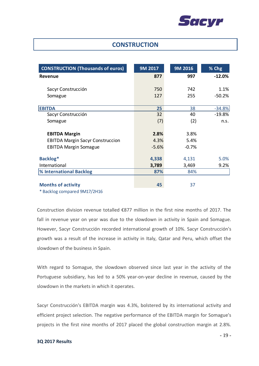

### **CONSTRUCTION**

| <b>CONSTRUCTION (Thousands of euros)</b>                                      | 9M 2017 | 9M 2016 | % Chg    |
|-------------------------------------------------------------------------------|---------|---------|----------|
| Revenue                                                                       | 877     | 997     | $-12.0%$ |
| Sacyr Construcción                                                            | 750     | 742     | 1.1%     |
| Somague                                                                       | 127     | 255     | $-50.2%$ |
| <b>EBITDA</b>                                                                 | 25      | 38      | $-34.8%$ |
| Sacyr Construcción                                                            | 32      | 40      | $-19.8%$ |
| Somague                                                                       | (7)     | (2)     | n.s.     |
| <b>EBITDA Margin</b>                                                          | 2.8%    | 3.8%    |          |
| <b>EBITDA Margin Sacyr Construccion</b>                                       | 4.3%    | 5.4%    |          |
| <b>EBITDA Margin Somague</b>                                                  | $-5.6%$ | $-0.7%$ |          |
| Backlog*                                                                      | 4,338   | 4,131   | 5.0%     |
| International                                                                 | 3,789   | 3,469   | 9.2%     |
| % International Backlog                                                       | 87%     | 84%     |          |
| <b>Months of activity</b><br>$\sim$ $\sim$ $\sim$ $\sim$ $\sim$ $\sim$ $\sim$ | 45      | 37      |          |

\* Backlog compared 9M17/2H16

Construction division revenue totalled  $\epsilon$ 877 million in the first nine months of 2017. The fall in revenue year on year was due to the slowdown in activity in Spain and Somague. However, Sacyr Construcción recorded international growth of 10%. Sacyr Construcción's growth was a result of the increase in activity in Italy, Qatar and Peru, which offset the slowdown of the business in Spain.

With regard to Somague, the slowdown observed since last year in the activity of the Portuguese subsidiary, has led to a 50% year-on-year decline in revenue, caused by the slowdown in the markets in which it operates.

Sacyr Construcción's EBITDA margin was 4.3%, bolstered by its international activity and efficient project selection. The negative performance of the EBITDA margin for Somague's projects in the first nine months of 2017 placed the global construction margin at 2.8%.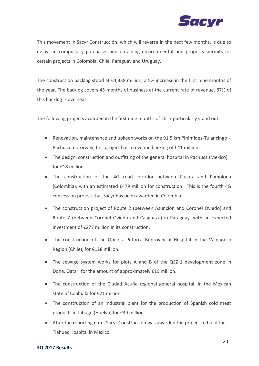

This movement in Sacyr Construcción, which will reverse in the next few months, is due to delays in compulsory purchases and obtaining environmental and property permits for certain projects in Colombia, Chile, Paraguay and Uruguay.

The construction backlog stood at  $\epsilon$ 4,338 million, a 5% increase in the first nine months of the year. The backlog covers 45 months of business at the current rate of revenue. 87% of this backlog is overseas.

The following projects awarded in the first nine months of 2017 particularly stand out:

- Renovation, maintenance and upkeep works on the 91.5 km Pirámides-Tulancingo Pachuca motorway; this project has a revenue backlog of €41 million.
- The design, construction and outfitting of the general hospital in Pachuca (Mexico) for €18 million.
- The construction of the 4G road corridor between Cúcuta and Pamplona (Colombia), with an estimated €479 million for construction. This is the fourth 4G concession project that Sacyr has been awarded in Colombia.
- The construction project of Route 2 (between Asunción and Coronel Oviedo) and Route 7 (between Coronel Oviedo and Caaguazú) in Paraguay, with an expected investment of €277 million in its construction.
- The construction of the Quillota-Petorca Bi-provincial Hospital in the Valparaiso Region (Chile), for €128 million.
- The sewage system works for plots A and B of the QEZ-1 development zone in Doha, Qatar, for the amount of approximately €19 million.
- The construction of the Ciudad Acuña regional general hospital, in the Mexican state of Coahuila for €21 million.
- The construction of an industrial plant for the production of Spanish cold meat products in Jabugo (Huelva) for €39 million.
- After the reporting date, Sacyr Construcción was awarded the project to build the Tláhuac Hospital in Mexico.

#### **3Q 2017 Results**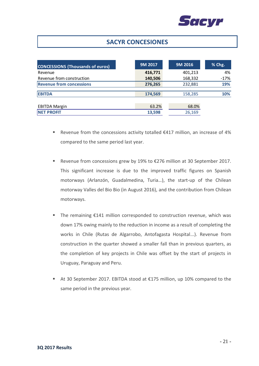

## **SACYR CONCESIONES**

| <b>CONCESSIONS (Thousands of euros)</b> | 9M 2017 | 9M 2016 | % Chg. |
|-----------------------------------------|---------|---------|--------|
| Revenue                                 | 416,771 | 401,213 | 4%     |
| Revenue from construction               | 140,506 | 168,332 | $-17%$ |
| <b>Revenue from concessions</b>         | 276,265 | 232,881 | 19%    |
| <b>EBITDA</b>                           | 174,569 | 158,285 | 10%    |
|                                         |         |         |        |
| <b>EBITDA Margin</b>                    | 63.2%   | 68.0%   |        |
| <b>NET PROFIT</b>                       | 13,598  | 26,169  |        |

- Revenue from the concessions activity totalled €417 million, an increase of 4% compared to the same period last year.
- Revenue from concessions grew by 19% to €276 million at 30 September 2017. This significant increase is due to the improved traffic figures on Spanish motorways (Arlanzón, Guadalmedina, Turia…), the start-up of the Chilean motorway Valles del Bio Bio (in August 2016), and the contribution from Chilean motorways.
- The remaining €141 million corresponded to construction revenue, which was down 17% owing mainly to the reduction in income as a result of completing the works in Chile (Rutas de Algarrobo, Antofagasta Hospital...). Revenue from construction in the quarter showed a smaller fall than in previous quarters, as the completion of key projects in Chile was offset by the start of projects in Uruguay, Paraguay and Peru.
- At 30 September 2017. EBITDA stood at €175 million, up 10% compared to the same period in the previous year.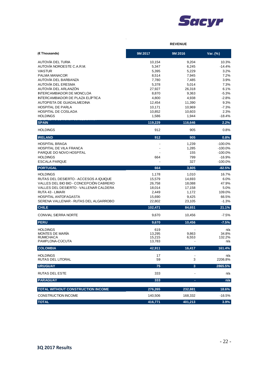

|                                                                      | <b>REVENUE</b>   |                 |                  |  |
|----------------------------------------------------------------------|------------------|-----------------|------------------|--|
| (€ Thousands)                                                        | 9M 2017          | 9M 2016         | Var. (%)         |  |
| AUTOVÍA DEL TURIA                                                    | 10,154           | 9,204           | 10.3%            |  |
| AUTOVÍA NOROESTE C.A.R.M.                                            | 5,347            | 6,245           | $-14.4%$         |  |
| <b>VIASTUR</b>                                                       | 5,395            | 5,229           | 3.2%             |  |
| PALMA MANACOR                                                        | 8,514            | 7,945           | 7.2%             |  |
| AUTOVÍA DEL BARBANZA                                                 | 7,780            | 7,485           | 3.9%             |  |
| AUTOVÍA DEL ERESMA<br>AUTOVÍA DEL ARLANZÓN                           | 5,378            | 5,014           | 7.3%             |  |
| <b>INTERCAMBIADOR DE MONCLOA</b>                                     | 27,927<br>8,870  | 26,318<br>9,363 | 6.1%<br>$-5.3%$  |  |
| <b>INTERCAMBIADOR DE PLAZA ELÍPTICA</b>                              | 4,800            | 4,938           | $-2.8%$          |  |
| AUTOPISTA DE GUADALMEDINA                                            | 12,454           | 11,390          | 9.3%             |  |
| <b>HOSPITAL DE PARLA</b>                                             | 10,171           | 10,969          | $-7.3%$          |  |
| <b>HOSPITAL DE COSLADA</b>                                           | 10,852           | 10,603          | 2.3%             |  |
| <b>HOLDINGS</b>                                                      | 1,586            | 1,944           | $-18.4%$         |  |
| <b>SPAIN</b>                                                         | 119,229          | 116,646         | 2.2%             |  |
| <b>HOLDINGS</b>                                                      | 912              | 905             | 0.8%             |  |
| <b>IRELAND</b>                                                       | 912              | 905             | 0.8%             |  |
| <b>HOSPITAL BRAGA</b>                                                |                  | 1,239           | $-100.0%$        |  |
| HOSPITAL DE VILA FRANCA                                              |                  | 1,285           | $-100.0%$        |  |
| PARQUE DO NOVO HOSPITAL                                              |                  | 155             | $-100.0%$        |  |
| <b>HOLDINGS</b>                                                      | 664              | 799             | $-16.9%$         |  |
| <b>ESCALA PARQUE</b>                                                 |                  | 327             | $-100.0%$        |  |
| <b>PORTUGAL</b>                                                      | 664              | 3,805           | $-82.5%$         |  |
| <b>HOLDINGS</b>                                                      | 1,178            | 1,010           | 16.7%            |  |
| RUTAS DEL DESIERTO - ACCESOS A IQUIQUE                               | 15,579           | 14,693          | 6.0%             |  |
| VALLES DEL BIO BIO - CONCEPCIÓN CABRERO                              | 26,758           | 18,088          | 47.9%            |  |
| VALLES DEL DESIERTO - VALLENAR CALDERA                               | 18,014           | 17,158          | 5.0%             |  |
| RUTA 43 - LIMARI                                                     | 2,449            | 1,172           | 109.0%           |  |
| <b>HOSPITAL ANTOFAGASTA</b><br>SERENA VALLENAR - RUTAS DEL ALGARROBO | 15,690<br>22,802 | 9,425<br>23,105 | 66.5%<br>$-1.3%$ |  |
| <b>CHILE</b>                                                         | 102,471          | 84,651          | 21.1%            |  |
| <b>CONVIAL SIERRA NORTE</b>                                          | 9,670            | 10,456          | $-7.5%$          |  |
| <b>PERU</b>                                                          | 9,670            | 10,456          | $-7.5%$          |  |
|                                                                      |                  |                 |                  |  |
| <b>HOLDINGS</b><br><b>MONTES DE MARÍA</b>                            | 619              |                 | n/a              |  |
| RUMICHACA                                                            | 13,295<br>15,215 | 9,863<br>6,553  | 34.8%<br>132.2%  |  |
| PAMPLONA-CÚCUTA                                                      | 13,783           |                 | n/a              |  |
| <b>COLOMBIA</b>                                                      | 42,911           | 16,417          | 161.4%           |  |
| <b>HOLDINGS</b>                                                      | 17               |                 | n/a              |  |
| RUTAS DEL LITORAL                                                    | 59               | 3               | 2206.8%          |  |
| <b>URUGUAY</b>                                                       | 75               | $\overline{3}$  | 2865.5%          |  |
| <b>RUTAS DEL ESTE</b>                                                | 333              |                 | n/a              |  |
| <b>PARAGUAY</b>                                                      | 333              |                 | n/a              |  |
| <b>TOTAL WITHOUT CONSTRUCTION INCOME</b>                             | 276,265          | 232,881         | 18.6%            |  |
| CONSTRUCTION INCOME                                                  | 140,506          | 168,332         | $-16.5%$         |  |
| <b>TOTAL</b>                                                         | 416,771          | 401,213         | 3.9%             |  |

 $\bar{z}$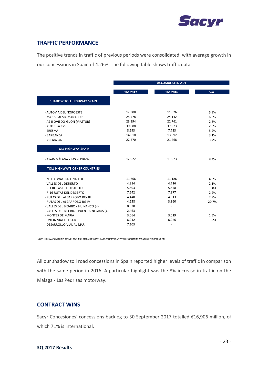

### **TRAFFIC PERFORMANCE**

The positive trends in traffic of previous periods were consolidated, with average growth in our concessions in Spain of 4.26%. The following table shows traffic data:

|                                           | <b>ACCUMULATED ADT</b> |                          |         |  |
|-------------------------------------------|------------------------|--------------------------|---------|--|
|                                           | 9M 2017                | 9M 2016                  | Var.    |  |
| <b>SHADOW TOLL HIGHWAY SPAIN</b>          |                        |                          |         |  |
| - AUTOVIA DEL NOROESTE                    | 12,308                 | 11,626                   | 5.9%    |  |
| - Ma-15 PALMA-MANACOR                     | 25,778                 | 24,142                   | 6.8%    |  |
| - AS-II OVIEDO-GIJÓN (VIASTUR)            | 23,394                 | 22,761                   | 2.8%    |  |
| - AUTURSA CV-35                           | 39,088                 | 37,973                   | 2.9%    |  |
| - ERESMA                                  | 8,193                  | 7,733                    | 5.9%    |  |
| - BARBANZA                                | 14,010                 | 13,592                   | 3.1%    |  |
| - ARLANZON                                | 22,570                 | 21,768                   | 3.7%    |  |
|                                           |                        |                          |         |  |
| <b>TOLL HIGHWAY SPAIN</b>                 |                        |                          |         |  |
| - AP-46 MÁLAGA - LAS PEDRIZAS             | 12,922                 | 11,923                   | 8.4%    |  |
| <b>TOLL HIGHWAYS OTHER COUNTRIES</b>      |                        |                          |         |  |
|                                           |                        |                          |         |  |
| - N6 GALWAY-BALLINASLOE                   | 11,666                 | 11,186                   | 4.3%    |  |
| - VALLES DEL DESIERTO                     | 4,814                  | 4,716                    | 2.1%    |  |
| - R-1 RUTAS DEL DESIERTO                  | 5,603                  | 5,648                    | $-0.8%$ |  |
| - R-16 RUTAS DEL DESIERTO                 | 7,542                  | 7,377                    | 2.2%    |  |
| - RUTAS DEL ALGARROBO RG- III             | 4,440                  | 4,313                    | 2.9%    |  |
| - RUTAS DEL ALGARROBO RG-IV               | 4,658                  | 3,860                    | 20.7%   |  |
| - VALLES DEL BIO-BIO - HUINANCO (4)       | 8,530                  |                          |         |  |
| - VALLES DEL BIO-BIO - PUENTES NEGROS (4) | 2,463                  |                          |         |  |
| - MONTES DE MARÍA                         | 3,064                  | 3,019                    | 1.5%    |  |
| - UNIÓN VIAL DEL SUR                      | 6,012                  | 6,026                    | $-0.2%$ |  |
| - DESARROLLO VIAL AL MAR                  | 7,103                  | $\overline{\phantom{a}}$ |         |  |

NOTE: HIGHWAYS WITH NO DATA IN ACCUMULATED ADT 9M2016 ARE CONCESSIONS WITH LESS THAN 12 MONTHS INTO OPERATION.

All our shadow toll road concessions in Spain reported higher levels of traffic in comparison with the same period in 2016. A particular highlight was the 8% increase in traffic on the Malaga - Las Pedrizas motorway.

### **CONTRACT WINS**

Sacyr Concesiones' concessions backlog to 30 September 2017 totalled €16,906 million, of which 71% is international.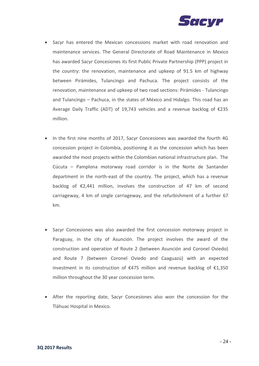

- Sacyr has entered the Mexican concessions market with road renovation and maintenance services. The General Directorate of Road Maintenance in Mexico has awarded Sacyr Concesiones its first Public Private Partnership (PPP) project in the country: the renovation, maintenance and upkeep of 91.5 km of highway between Pirámides, Tulancingo and Pachuca. The project consists of the renovation, maintenance and upkeep of two road sections: Pirámides - Tulancingo and Tulancingo – Pachuca, in the states of México and Hidalgo. This road has an Average Daily Traffic (ADT) of 19,743 vehicles and a revenue backlog of €235 million.
- In the first nine months of 2017, Sacyr Concesiones was awarded the fourth 4G concession project in Colombia, positioning it as the concession which has been awarded the most projects within the Colombian national infrastructure plan. The Cúcuta – Pamplona motorway road corridor is in the Norte de Santander department in the north-east of the country. The project, which has a revenue backlog of €2,441 million, involves the construction of 47 km of second carriageway, 4 km of single carriageway, and the refurbishment of a further 67 km.
- Sacyr Concesiones was also awarded the first concession motorway project in Paraguay, in the city of Asunción. The project involves the award of the construction and operation of Route 2 (between Asunción and Coronel Oviedo) and Route 7 (between Coronel Oviedo and Caaguazú) with an expected investment in its construction of €475 million and revenue backlog of €1,350 million throughout the 30 year concession term.
- After the reporting date, Sacyr Concesiones also won the concession for the Tláhuac Hospital in Mexico.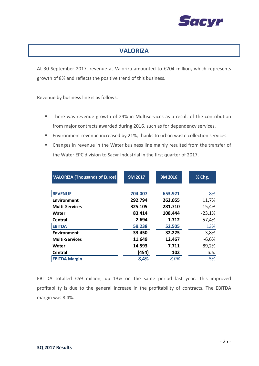

## **VALORIZA**

At 30 September 2017, revenue at Valoriza amounted to €704 million, which represents growth of 8% and reflects the positive trend of this business.

Revenue by business line is as follows:

- There was revenue growth of 24% in Multiservices as a result of the contribution from major contracts awarded during 2016, such as for dependency services.
- Environment revenue increased by 21%, thanks to urban waste collection services.
- Changes in revenue in the Water business line mainly resulted from the transfer of the Water EPC division to Sacyr Industrial in the first quarter of 2017.

| <b>VALORIZA (Thousands of Euros)</b> | 9M 2017 | 9M 2016 | % Chg.   |
|--------------------------------------|---------|---------|----------|
|                                      |         |         |          |
| <b>REVENUE</b>                       | 704.007 | 653.921 | 8%       |
| Environment                          | 292.794 | 262.055 | 11,7%    |
| <b>Multi-Services</b>                | 325.105 | 281.710 | 15,4%    |
| Water                                | 83.414  | 108.444 | $-23,1%$ |
| Central                              | 2.694   | 1.712   | 57,4%    |
| <b>EBITDA</b>                        | 59.238  | 52.505  | 13%      |
| Environment                          | 33.450  | 32.225  | 3,8%     |
| <b>Multi-Services</b>                | 11.649  | 12.467  | $-6,6%$  |
| Water                                | 14.593  | 7.711   | 89,2%    |
| <b>Central</b>                       | (454)   | 102     | n.a.     |
| <b>EBITDA Margin</b>                 | 8,4%    | 8,0%    | 5%       |

EBITDA totalled €59 million, up 13% on the same period last year. This improved profitability is due to the general increase in the profitability of contracts. The EBITDA margin was 8.4%.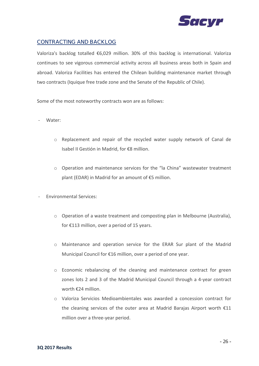

### CONTRACTING AND BACKLOG

Valoriza's backlog totalled €6,029 million. 30% of this backlog is international. Valoriza continues to see vigorous commercial activity across all business areas both in Spain and abroad. Valoriza Facilities has entered the Chilean building maintenance market through two contracts (Iquique free trade zone and the Senate of the Republic of Chile).

Some of the most noteworthy contracts won are as follows:

- Water:
	- o Replacement and repair of the recycled water supply network of Canal de Isabel II Gestión in Madrid, for €8 million.
	- o Operation and maintenance services for the "la China" wastewater treatment plant (EDAR) in Madrid for an amount of €5 million.
- Environmental Services:
	- o Operation of a waste treatment and composting plan in Melbourne (Australia), for €113 million, over a period of 15 years.
	- o Maintenance and operation service for the ERAR Sur plant of the Madrid Municipal Council for €16 million, over a period of one year.
	- o Economic rebalancing of the cleaning and maintenance contract for green zones lots 2 and 3 of the Madrid Municipal Council through a 4-year contract worth €24 million.
	- o Valoriza Servicios Medioambientales was awarded a concession contract for the cleaning services of the outer area at Madrid Barajas Airport worth €11 million over a three-year period.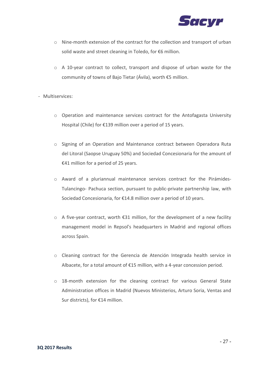

- o Nine-month extension of the contract for the collection and transport of urban solid waste and street cleaning in Toledo, for €6 million.
- o A 10-year contract to collect, transport and dispose of urban waste for the community of towns of Bajo Tietar (Ávila), worth €5 million.

#### - Multiservices:

- o Operation and maintenance services contract for the Antofagasta University Hospital (Chile) for €139 million over a period of 15 years.
- o Signing of an Operation and Maintenance contract between Operadora Ruta del Litoral (Saopse Uruguay 50%) and Sociedad Concesionaria for the amount of €41 million for a period of 25 years.
- o Award of a pluriannual maintenance services contract for the Pirámides-Tulancingo- Pachuca section, pursuant to public-private partnership law, with Sociedad Concesionaria, for €14.8 million over a period of 10 years.
- $\circ$  A five-year contract, worth  $\epsilon$ 31 million, for the development of a new facility management model in Repsol's headquarters in Madrid and regional offices across Spain.
- o Cleaning contract for the Gerencia de Atención Integrada health service in Albacete, for a total amount of €15 million, with a 4-year concession period.
- o 18-month extension for the cleaning contract for various General State Administration offices in Madrid (Nuevos Ministerios, Arturo Soria, Ventas and Sur districts), for €14 million.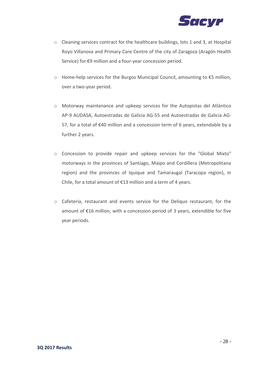

- o Cleaning services contract for the healthcare buildings, lots 1 and 3, at Hospital Royo Villanova and Primary Care Centre of the city of Zaragoza (Aragón Health Service) for €9 million and a four-year concession period.
- o Home-help services for the Burgos Municipal Council, amounting to €5 million, over a two-year period.
- o Motorway maintenance and upkeep services for the Autopistas del Atlántico AP-9 AUDASA, Autoestradas de Galicia AG-55 and Autoestradas de Galicia AG-57, for a total of €40 million and a concession term of 6 years, extendable by a further 2 years.
- o Concession to provide repair and upkeep services for the "Global Mixto" motorways in the provinces of Santiago, Maipo and Cordillera (Metropolitana region) and the provinces of Iquique and Tamaraugal (Taracopa region), in Chile, for a total amount of €13 million and a term of 4 years.
- o Cafeteria, restaurant and events service for the Deliquo restaurant, for the amount of €16 million, with a concession period of 3 years, extendible for five year periods.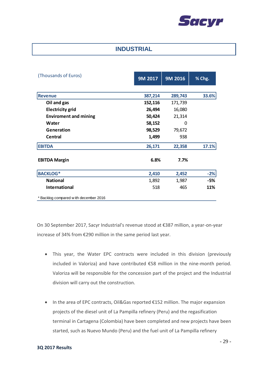

### **INDUSTRIAL**

| (Thousands of Euros)                 | 9M 2017 | 9M 2016 | % Chg. |
|--------------------------------------|---------|---------|--------|
|                                      |         |         |        |
| <b>Revenue</b>                       | 387,214 | 289,743 | 33.6%  |
| Oil and gas                          | 152,116 | 171,739 |        |
| <b>Electricity grid</b>              | 26,494  | 16,080  |        |
| <b>Enviroment and mining</b>         | 50,424  | 21,314  |        |
| Water                                | 58,152  | 0       |        |
| Generation                           | 98,529  | 79,672  |        |
| <b>Central</b>                       | 1,499   | 938     |        |
| <b>EBITDA</b>                        | 26,171  | 22,358  | 17.1%  |
| <b>EBITDA Margin</b>                 | 6.8%    | 7.7%    |        |
| <b>BACKLOG*</b>                      | 2,410   | 2,452   | $-2%$  |
| <b>National</b>                      | 1,892   | 1,987   | $-5%$  |
| <b>International</b>                 | 518     | 465     | 11%    |
| Backlog compared w ith december 2016 |         |         |        |

On 30 September 2017, Sacyr Industrial's revenue stood at €387 million, a year-on-year increase of 34% from €290 million in the same period last year.

- This year, the Water EPC contracts were included in this division (previously included in Valoriza) and have contributed €58 million in the nine-month period. Valoriza will be responsible for the concession part of the project and the Industrial division will carry out the construction.
- In the area of EPC contracts, Oil&Gas reported €152 million. The major expansion projects of the diesel unit of La Pampilla refinery (Peru) and the regasification terminal in Cartagena (Colombia) have been completed and new projects have been started, such as Nuevo Mundo (Peru) and the fuel unit of La Pampilla refinery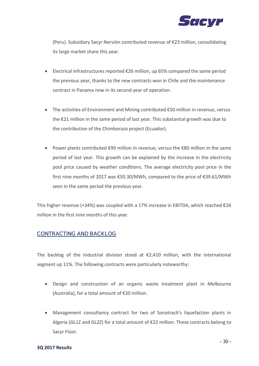

(Peru). Subsidiary Sacyr Nervión contributed revenue of €23 million, consolidating its large market share this year.

- Electrical infrastructures reported €26 million, up 65% compared the same period the previous year, thanks to the new contracts won in Chile and the maintenance contract in Panama now in its second year of operation.
- The activities of Environment and Mining contributed €50 million in revenue, versus the €21 million in the same period of last year. This substantial growth was due to the contribution of the Chimborazo project (Ecuador).
- Power plants contributed €99 million in revenue, versus the €80 million in the same period of last year. This growth can be explained by the increase in the electricity pool price caused by weather conditions. The average electricity pool price in the first nine months of 2017 was €50.30/MWh, compared to the price of €39.61/MWh seen in the same period the previous year.

This higher revenue (+34%) was coupled with a 17% increase in EBITDA, which reached  $\epsilon$ 26 million in the first nine months of this year.

### CONTRACTING AND BACKLOG

The backlog of the Industrial division stood at  $\epsilon$ 2,410 million, with the international segment up 11%. The following contracts were particularly noteworthy:

- Design and construction of an organic waste treatment plant in Melbourne (Australia), for a total amount of €30 million.
- Management consultancy contract for two of Sonatrach's liquefaction plants in Algeria (GL1Z and GL2Z) for a total amount of €22 million. These contracts belong to Sacyr Flúor.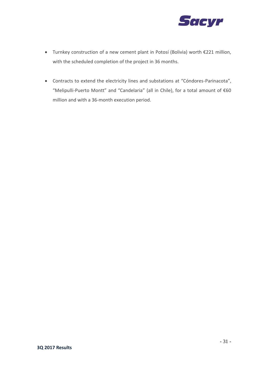

- Turnkey construction of a new cement plant in Potosí (Bolivia) worth €221 million, with the scheduled completion of the project in 36 months.
- Contracts to extend the electricity lines and substations at "Cóndores-Parinacota", "Melipulli-Puerto Montt" and "Candelaria" (all in Chile), for a total amount of €60 million and with a 36-month execution period.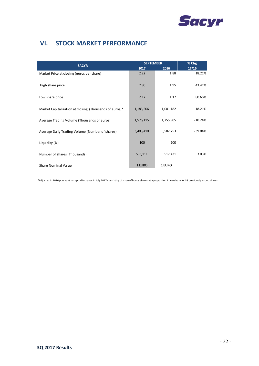

## **VI. STOCK MARKET PERFORMANCE**

| <b>SACYR</b>                                           | <b>SEPTEMBER</b> |           | % Chg     |
|--------------------------------------------------------|------------------|-----------|-----------|
|                                                        | 2017             | 2016      | 17/16     |
| Market Price at closing (euros per share)              | 2.22             | 1.88      | 18.21%    |
| High share price                                       | 2.80             | 1.95      | 43.41%    |
| Low share price                                        | 2.12             | 1.17      | 80.66%    |
| Market Capitalization at closing (Thousands of euros)* | 1,183,506        | 1,001,182 | 18.21%    |
| Average Trading Volume (Thousands of euros)            | 1,576,115        | 1,755,905 | $-10.24%$ |
| Average Daily Trading Volume (Number of shares)        | 3,403,410        | 5,582,753 | $-39.04%$ |
| Liquidity (%)                                          | 100              | 100       |           |
| Number of shares (Thousands)                           | 533,111          | 517,431   | 3.03%     |
| <b>Share Nominal Value</b>                             | 1 EURO           | 1 EURO    |           |

\*Adjusted in 2016 pursuant to capital increase in July 2017 consisting of issue of bonus shares at a proportion 1 new share for 33 previously issued shares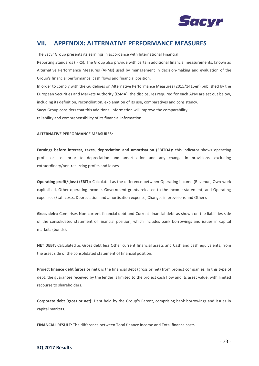

## **VII. APPENDIX: ALTERNATIVE PERFORMANCE MEASURES**

The Sacyr Group presents its earnings in accordance with International Financial

Reporting Standards (IFRS). The Group also provide with certain additional financial measurements, known as Alternative Performance Measures (APMs) used by management in decision-making and evaluation of the Group's financial performance, cash flows and financial position.

In order to comply with the Guidelines on Alternative Performance Measures (2015/1415en) published by the European Securities and Markets Authority (ESMA), the disclosures required for each APM are set out below, including its definition, reconciliation, explanation of its use, comparatives and consistency. Sacyr Group considers that this additional information will improve the comparability,

reliability and comprehensibility of its financial information.

#### **ALTERNATIVE PERFORMANCE MEASURES**:

**Earnings before interest, taxes, depreciation and amortisation (EBITDA):** this indicator shows operating profit or loss prior to depreciation and amortisation and any change in provisions, excluding extraordinary/non-recurring profits and losses.

**Operating profit/(loss) (EBIT):** Calculated as the difference between Operating income (Revenue, Own work capitalised, Other operating income, Government grants released to the income statement) and Operating expenses (Staff costs, Depreciation and amortisation expense, Changes in provisions and Other).

**Gross debt:** Comprises Non-current financial debt and Current financial debt as shown on the liabilities side of the consolidated statement of financial position, which includes bank borrowings and issues in capital markets (bonds).

**NET DEBT:** Calculated as Gross debt less Other current financial assets and Cash and cash equivalents, from the asset side of the consolidated statement of financial position.

**Project finance debt (gross or net):** is the financial debt (gross or net) from project companies. In this type of debt, the guarantee received by the lender is limited to the project cash flow and its asset value, with limited recourse to shareholders.

**Corporate debt (gross or net)**: Debt held by the Group's Parent, comprising bank borrowings and issues in capital markets.

**FINANCIAL RESULT**: The difference between Total finance income and Total finance costs.